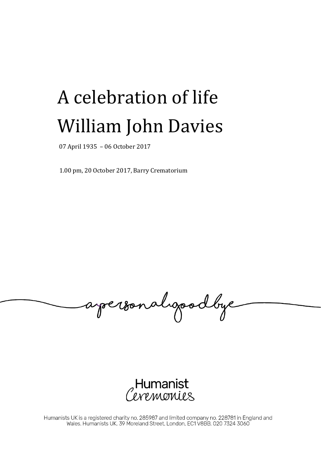## A celebration of life William John Davies

07 April 1935 – 06 October 2017

1.00 pm, 20 October 2017, Barry Crematorium

apersonalgoodbye

,Humanist<br>*Wemonie*s

Humanists UK is a registered charity no. 285987 and limited company no. 228781 in England and<br>Wales. Humanists UK, 39 Moreland Street, London, EC1 V8BB, 020 7324 3060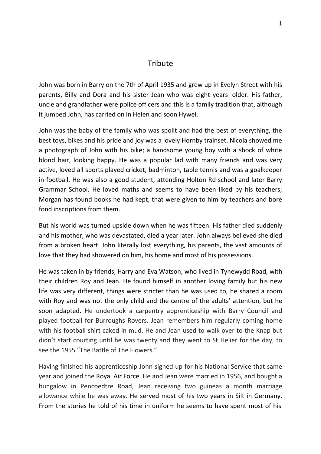## **Tribute**

John was born in Barry on the 7th of April 1935 and grew up in Evelyn Street with his parents, Billy and Dora and his sister Jean who was eight years older. His father, uncle and grandfather were police officers and this is a family tradition that, although it jumped John, has carried on in Helen and soon Hywel.

John was the baby of the family who was spoilt and had the best of everything, the best toys, bikes and his pride and joy was a lovely Hornby trainset. Nicola showed me a photograph of John with his bike; a handsome young boy with a shock of white blond hair, looking happy. He was a popular lad with many friends and was very active, loved all sports played cricket, badminton, table tennis and was a goalkeeper in football. He was also a good student, attending Holton Rd school and later Barry Grammar School. He loved maths and seems to have been liked by his teachers; Morgan has found books he had kept, that were given to him by teachers and bore fond inscriptions from them.

But his world was turned upside down when he was fifteen. His father died suddenly and his mother, who was devastated, died a year later. John always believed she died from a broken heart. John literally lost everything, his parents, the vast amounts of love that they had showered on him, his home and most of his possessions.

He was taken in by friends, Harry and Eva Watson, who lived in Tynewydd Road, with their children Roy and Jean. He found himself in another loving family but his new life was very different, things were stricter than he was used to, he shared a room with Roy and was not the only child and the centre of the adults' attention, but he soon adapted. He undertook a carpentry apprenticeship with Barry Council and played football for Burroughs Rovers. Jean remembers him regularly coming home with his football shirt caked in mud. He and Jean used to walk over to the Knap but didn't start courting until he was twenty and they went to St Helier for the day, to see the 1955 "The Battle of The Flowers."

Having finished his apprenticeship John signed up for his National Service that same year and joined the Royal Air Force. He and Jean were married in 1956, and bought a bungalow in Pencoedtre Road, Jean receiving two guineas a month marriage allowance while he was away. He served most of his two years in Silt in Germany. From the stories he told of his time in uniform he seems to have spent most of his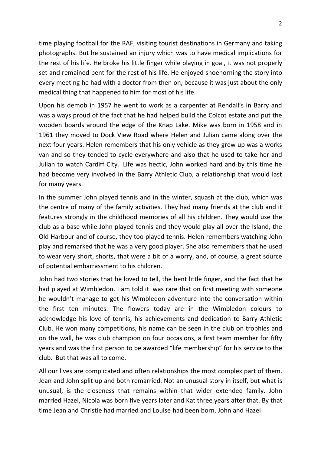time playing football for the RAF, visiting tourist destinations in Germany and taking photographs. But he sustained an injury which was to have medical implications for the rest of his life. He broke his little finger while playing in goal, it was not properly set and remained bent for the rest of his life. He enjoyed shoehorning the story into every meeting he had with a doctor from then on, because it was just about the only medical thing that happened to him for most of his life.

Upon his demob in 1957 he went to work as a carpenter at Rendall's in Barry and was always proud of the fact that he had helped build the Colcot estate and put the wooden boards around the edge of the Knap Lake. Mike was born in 1958 and in 1961 they moved to Dock View Road where Helen and Julian came along over the next four years. Helen remembers that his only vehicle as they grew up was a works van and so they tended to cycle everywhere and also that he used to take her and Julian to watch Cardiff City. Life was hectic, John worked hard and by this time he had become very involved in the Barry Athletic Club, a relationship that would last for many years.

In the summer John played tennis and in the winter, squash at the club, which was the centre of many of the family activities. They had many friends at the club and it features strongly in the childhood memories of all his children. They would use the club as a base while John played tennis and they would play all over the Island, the Old Harbour and of course, they too played tennis. Helen remembers watching John play and remarked that he was a very good player. She also remembers that he used to wear very short, shorts, that were a bit of a worry, and, of course, a great source of potential embarrassment to his children.

John had two stories that he loved to tell, the bent little finger, and the fact that he had played at Wimbledon. I am told it was rare that on first meeting with someone he wouldn't manage to get his Wimbledon adventure into the conversation within the first ten minutes. The flowers today are in the Wimbledon colours to acknowledge his love of tennis, his achievements and dedication to Barry Athletic Club. He won many competitions, his name can be seen in the club on trophies and on the wall, he was club champion on four occasions, a first team member for fifty years and was the first person to be awarded "life membership" for his service to the club. But that was all to come.

All our lives are complicated and often relationships the most complex part of them. Jean and John split up and both remarried. Not an unusual story in itself, but what is unusual, is the closeness that remains within that wider extended family. John married Hazel, Nicola was born five years later and Kat three years after that. By that time Jean and Christie had married and Louise had been born. John and Hazel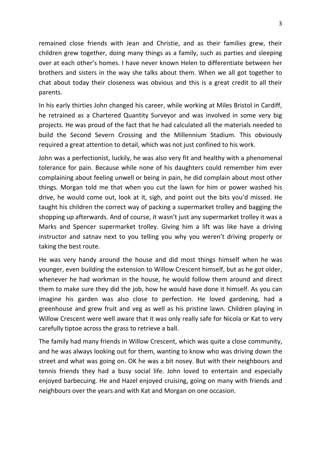remained close friends with Jean and Christie, and as their families grew, their children grew together, doing many things as a family, such as parties and sleeping over at each other's homes. I have never known Helen to differentiate between her brothers and sisters in the way she talks about them. When we all got together to chat about today their closeness was obvious and this is a great credit to all their parents.

In his early thirties John changed his career, while working at Miles Bristol in Cardiff, he retrained as a Chartered Quantity Surveyor and was involved in some very big projects. He was proud of the fact that he had calculated all the materials needed to build the Second Severn Crossing and the Millennium Stadium. This obviously required a great attention to detail, which was not just confined to his work.

John was a perfectionist, luckily, he was also very fit and healthy with a phenomenal tolerance for pain. Because while none of his daughters could remember him ever complaining about feeling unwell or being in pain, he did complain about most other things. Morgan told me that when you cut the lawn for him or power washed his drive, he would come out, look at it, sigh, and point out the bits you'd missed. He taught his children the correct way of packing a supermarket trolley and bagging the shopping up afterwards. And of course, it wasn't just any supermarket trolley it was a Marks and Spencer supermarket trolley. Giving him a lift was like have a driving instructor and satnav next to you telling you why you weren't driving properly or taking the best route.

He was very handy around the house and did most things himself when he was younger, even building the extension to Willow Crescent himself, but as he got older, whenever he had workman in the house, he would follow them around and direct them to make sure they did the job, how he would have done it himself. As you can imagine his garden was also close to perfection. He loved gardening, had a greenhouse and grew fruit and veg as well as his pristine lawn. Children playing in Willow Crescent were well aware that it was only really safe for Nicola or Kat to very carefully tiptoe across the grass to retrieve a ball.

The family had many friends in Willow Crescent, which was quite a close community, and he was always looking out for them, wanting to know who was driving down the street and what was going on. OK he was a bit nosey. But with their neighbours and tennis friends they had a busy social life. John loved to entertain and especially enjoyed barbecuing. He and Hazel enjoyed cruising, going on many with friends and neighbours over the years and with Kat and Morgan on one occasion.